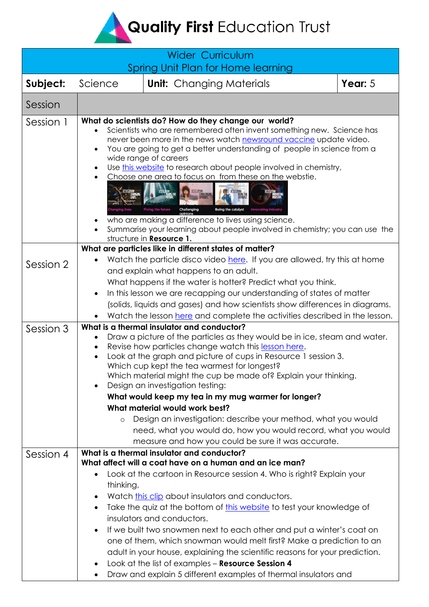**Quality First Education Trust** 

| <b>Wider Curriculum</b><br>Spring Unit Plan for Home learning |                                                                                                                                                                                                                                                                                                                                                                                                                                                                                                                                                                                                                                                                                                                                                                    |  |           |  |  |
|---------------------------------------------------------------|--------------------------------------------------------------------------------------------------------------------------------------------------------------------------------------------------------------------------------------------------------------------------------------------------------------------------------------------------------------------------------------------------------------------------------------------------------------------------------------------------------------------------------------------------------------------------------------------------------------------------------------------------------------------------------------------------------------------------------------------------------------------|--|-----------|--|--|
| Subject:                                                      | Science<br><b>Unit:</b> Changing Materials                                                                                                                                                                                                                                                                                                                                                                                                                                                                                                                                                                                                                                                                                                                         |  | Year: $5$ |  |  |
| Session                                                       |                                                                                                                                                                                                                                                                                                                                                                                                                                                                                                                                                                                                                                                                                                                                                                    |  |           |  |  |
| Session 1                                                     | What do scientists do? How do they change our world?<br>Scientists who are remembered often invent something new. Science has<br>never been more in the news watch <b>newsround vaccine</b> update video.<br>You are going to get a better understanding of people in science from a<br>wide range of careers<br>Use this website to research about people involved in chemistry,<br>Choose one area to focus on from these on the webstie.<br><b>Fixing the future</b><br>Challenging<br>Being the catalyst<br>who are making a difference to lives using science.<br>Summarise your learning about people involved in chemistry; you can use the<br>structure in Resource 1.                                                                                     |  |           |  |  |
| Session 2                                                     | What are particles like in different states of matter?<br>Watch the particle disco video here. If you are allowed, try this at home<br>and explain what happens to an adult.<br>What happens if the water is hotter? Predict what you think.<br>In this lesson we are recapping our understanding of states of matter<br>$\bullet$<br>(solids, liquids and gases) and how scientists show differences in diagrams.<br>Watch the lesson here and complete the activities described in the lesson.                                                                                                                                                                                                                                                                   |  |           |  |  |
| Session 3                                                     | What is a thermal insulator and conductor?<br>Draw a picture of the particles as they would be in ice, steam and water.<br>Revise how particles change watch this lesson here.<br>Look at the graph and picture of cups in Resource 1 session 3.<br>Which cup kept the tea warmest for longest?<br>Which material might the cup be made of? Explain your thinking.<br>Design an investigation testing:<br>What would keep my tea in my mug warmer for longer?<br>What material would work best?<br>Design an investigation: describe your method, what you would<br>$\circ$<br>need, what you would do, how you would record, what you would<br>measure and how you could be sure it was accurate.                                                                 |  |           |  |  |
| Session 4                                                     | What is a thermal insulator and conductor?<br>What affect will a coat have on a human and an ice man?<br>Look at the cartoon in Resource session 4. Who is right? Explain your<br>$\bullet$<br>thinking,<br>Watch this clip about insulators and conductors.<br>$\bullet$<br>Take the quiz at the bottom of this website to test your knowledge of<br>$\bullet$<br>insulators and conductors.<br>If we built two snowmen next to each other and put a winter's coat on<br>one of them, which snowman would melt first? Make a prediction to an<br>adult in your house, explaining the scientific reasons for your prediction.<br>Look at the list of examples - Resource Session 4<br>Draw and explain 5 different examples of thermal insulators and<br>$\bullet$ |  |           |  |  |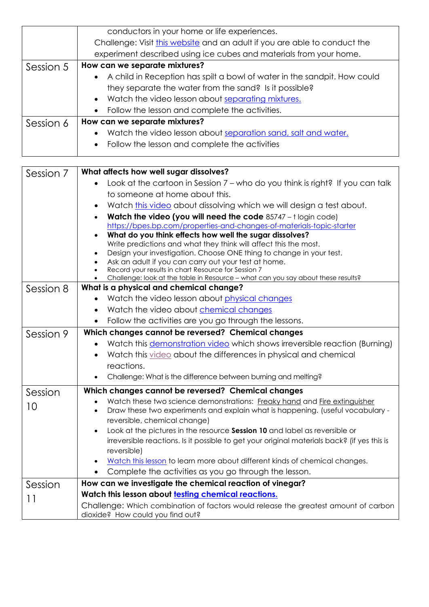|           | conductors in your home or life experiences.                               |  |  |  |  |
|-----------|----------------------------------------------------------------------------|--|--|--|--|
|           | Challenge: Visit this website and an adult if you are able to conduct the  |  |  |  |  |
|           | experiment described using ice cubes and materials from your home.         |  |  |  |  |
| Session 5 | How can we separate mixtures?                                              |  |  |  |  |
|           | • A child in Reception has spilt a bowl of water in the sandpit. How could |  |  |  |  |
|           | they separate the water from the sand? Is it possible?                     |  |  |  |  |
|           | • Watch the video lesson about separating mixtures.                        |  |  |  |  |
|           | • Follow the lesson and complete the activities.                           |  |  |  |  |
| Session 6 | How can we separate mixtures?                                              |  |  |  |  |
|           | Watch the video lesson about separation sand, salt and water.<br>$\bullet$ |  |  |  |  |
|           | • Follow the lesson and complete the activities                            |  |  |  |  |
|           |                                                                            |  |  |  |  |

| Session 7 | What affects how well sugar dissolves?                                                                                                  |  |  |  |  |  |
|-----------|-----------------------------------------------------------------------------------------------------------------------------------------|--|--|--|--|--|
|           | Look at the cartoon in Session 7 - who do you think is right? If you can talk                                                           |  |  |  |  |  |
|           | to someone at home about this.                                                                                                          |  |  |  |  |  |
|           | Watch this video about dissolving which we will design a test about.<br>$\bullet$                                                       |  |  |  |  |  |
|           | Watch the video (you will need the code 85747 - t login code)                                                                           |  |  |  |  |  |
|           | https://bpes.bp.com/properties-and-changes-of-materials-topic-starter                                                                   |  |  |  |  |  |
|           | What do you think effects how well the sugar dissolves?                                                                                 |  |  |  |  |  |
|           | Write predictions and what they think will affect this the most.<br>Design your investigation. Choose ONE thing to change in your test. |  |  |  |  |  |
|           | Ask an adult if you can carry out your test at home.                                                                                    |  |  |  |  |  |
|           | Record your results in chart Resource for Session 7                                                                                     |  |  |  |  |  |
|           | Challenge: look at the table in Resource - what can you say about these results?                                                        |  |  |  |  |  |
| Session 8 | What is a physical and chemical change?                                                                                                 |  |  |  |  |  |
|           | Watch the video lesson about physical changes<br>$\bullet$                                                                              |  |  |  |  |  |
|           | Watch the video about chemical changes<br>$\bullet$                                                                                     |  |  |  |  |  |
|           | Follow the activities are you go through the lessons.                                                                                   |  |  |  |  |  |
| Session 9 | Which changes cannot be reversed? Chemical changes                                                                                      |  |  |  |  |  |
|           | Watch this demonstration video which shows irreversible reaction (Burning)                                                              |  |  |  |  |  |
|           | Watch this video about the differences in physical and chemical                                                                         |  |  |  |  |  |
|           | reactions.                                                                                                                              |  |  |  |  |  |
|           | Challenge: What is the difference between burning and melting?                                                                          |  |  |  |  |  |
| Session   | Which changes cannot be reversed? Chemical changes                                                                                      |  |  |  |  |  |
| 10        | Watch these two science demonstrations: Freaky hand and Fire extinguisher                                                               |  |  |  |  |  |
|           | Draw these two experiments and explain what is happening. (useful vocabulary -<br>$\bullet$                                             |  |  |  |  |  |
|           | reversible, chemical change)                                                                                                            |  |  |  |  |  |
|           | Look at the pictures in the resource Session 10 and label as reversible or<br>$\bullet$                                                 |  |  |  |  |  |
|           | irreversible reactions. Is it possible to get your original materials back? (if yes this is<br>reversible)                              |  |  |  |  |  |
|           | Watch this lesson to learn more about different kinds of chemical changes.<br>$\bullet$                                                 |  |  |  |  |  |
|           | Complete the activities as you go through the lesson.                                                                                   |  |  |  |  |  |
|           |                                                                                                                                         |  |  |  |  |  |
| Session   | How can we investigate the chemical reaction of vinegar?                                                                                |  |  |  |  |  |
| 11        | Watch this lesson about testing chemical reactions.                                                                                     |  |  |  |  |  |
|           | Challenge: Which combination of factors would release the greatest amount of carbon<br>dioxide? How could you find out?                 |  |  |  |  |  |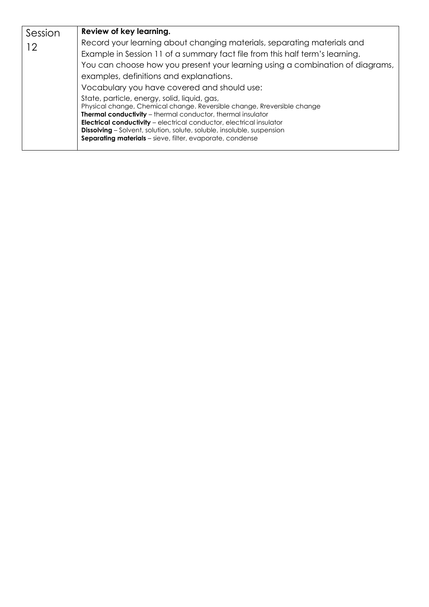| Session | Review of key learning.                                                                                                                           |  |  |  |
|---------|---------------------------------------------------------------------------------------------------------------------------------------------------|--|--|--|
| 12      | Record your learning about changing materials, separating materials and                                                                           |  |  |  |
|         | Example in Session 11 of a summary fact file from this half term's learning.                                                                      |  |  |  |
|         | You can choose how you present your learning using a combination of diagrams,                                                                     |  |  |  |
|         | examples, definitions and explanations.                                                                                                           |  |  |  |
|         | Vocabulary you have covered and should use:                                                                                                       |  |  |  |
|         | State, particle, energy, solid, liquid, gas,                                                                                                      |  |  |  |
|         | Physical change, Chemical change. Reversible change, Rreversible change                                                                           |  |  |  |
|         | <b>Thermal conductivity</b> – thermal conductor, thermal insulator<br><b>Electrical conductivity</b> - electrical conductor, electrical insulator |  |  |  |
|         | <b>Dissolving</b> - Solvent, solution, solute, soluble, insoluble, suspension                                                                     |  |  |  |
|         | <b>Separating materials</b> – sieve, filter, evaporate, condense                                                                                  |  |  |  |
|         |                                                                                                                                                   |  |  |  |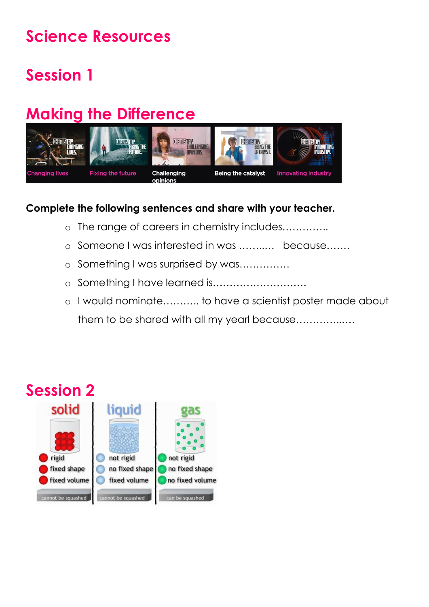## **Science Resources**

# **Session 1**

# **Making the Difference**



#### **Complete the following sentences and share with your teacher.**

- o The range of careers in chemistry includes…………..
- o Someone I was interested in was ……..… because…….
- o Something I was surprised by was……………
- o Something I have learned is……………………….
- o I would nominate……….. to have a scientist poster made about them to be shared with all my yearl because…………..….

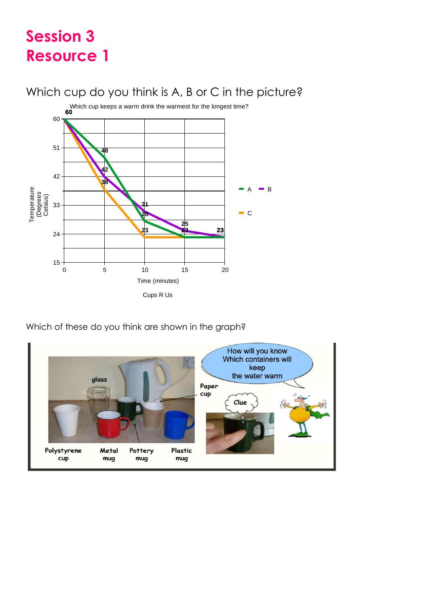### **Session 3 Resource 1**

### Which cup do you think is A, B or C in the picture?



Which of these do you think are shown in the graph?

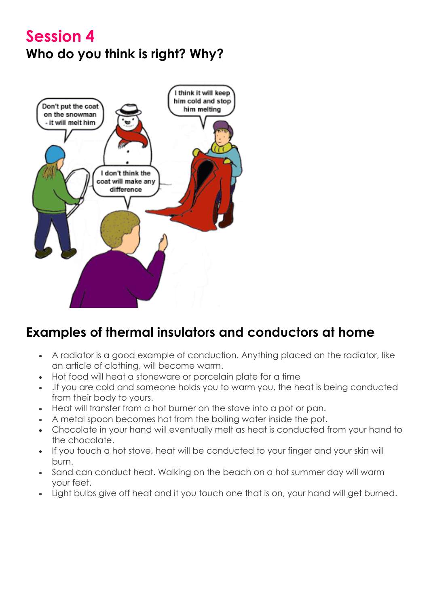### **Session 4 Who do you think is right? Why?**



### **Examples of thermal insulators and conductors at home**

- A radiator is a good example of conduction. Anything placed on the radiator, like an article of clothing, will become warm.
- Hot food will heat a stoneware or porcelain plate for a time
- .If you are cold and someone holds you to warm you, the heat is being conducted from their body to yours.
- Heat will transfer from a hot burner on the stove into a pot or pan.
- A metal spoon becomes hot from the boiling water inside the pot.
- Chocolate in your hand will eventually melt as heat is conducted from your hand to the chocolate.
- If you touch a hot stove, heat will be conducted to your finger and your skin will burn.
- Sand can conduct heat. Walking on the beach on a hot summer day will warm your feet.
- Light bulbs give off heat and it you touch one that is on, your hand will get burned.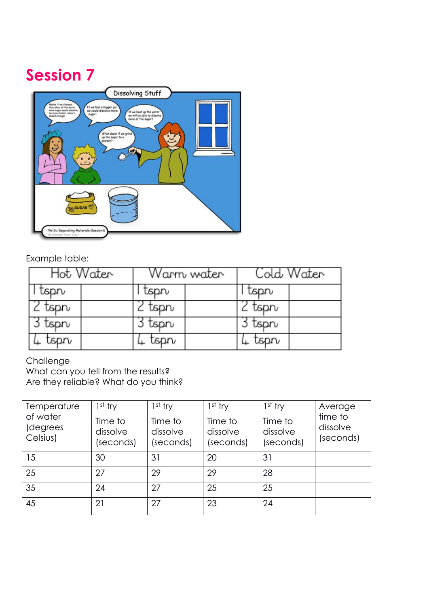## **Session 7**



### Example table:

| Hot Water | Warm water | Cold Water |  |
|-----------|------------|------------|--|
| tspn      | tspn       | tsprv      |  |
| tsprv     | tsprv      | tsprv      |  |
| tsprv     | tsprv      | tspn       |  |
| tspn      | tsprv      | tsprv      |  |

#### Challenge

What can you tell from the results?

Are they reliable? What do you think?

| Temperature<br>of water<br>(degrees<br>Celsius) | $1st$ try<br>Time to<br>dissolve<br>(seconds) | $1st$ try<br>Time to<br>dissolve<br>(seconds) | $1st$ try<br>Time to<br>dissolve<br>(seconds) | $1st$ try<br>Time to<br>dissolve<br>(seconds) | Average<br>time to<br>dissolve<br>(seconds) |
|-------------------------------------------------|-----------------------------------------------|-----------------------------------------------|-----------------------------------------------|-----------------------------------------------|---------------------------------------------|
| 15                                              | 30                                            | 31                                            | 20                                            | 31                                            |                                             |
| 25                                              | 27                                            | 29                                            | 29                                            | 28                                            |                                             |
| 35                                              | 24                                            | 27                                            | 25                                            | 25                                            |                                             |
| 45                                              | 21                                            | 27                                            | 23                                            | 24                                            |                                             |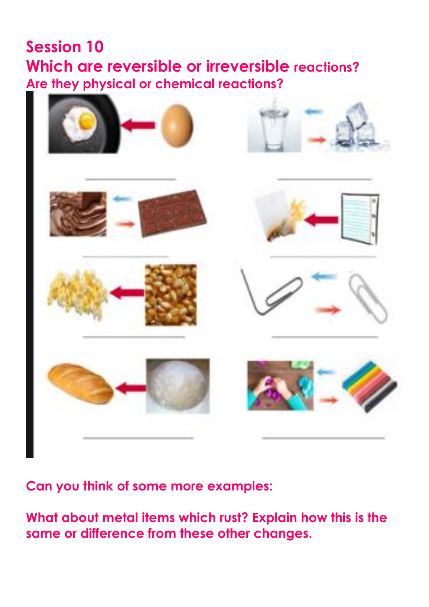### **Session 10 Which are reversible or irreversible reactions? Are they physical or chemical reactions?**



**Can you think of some more examples:**

**What about metal items which rust? Explain how this is the same or difference from these other changes.**